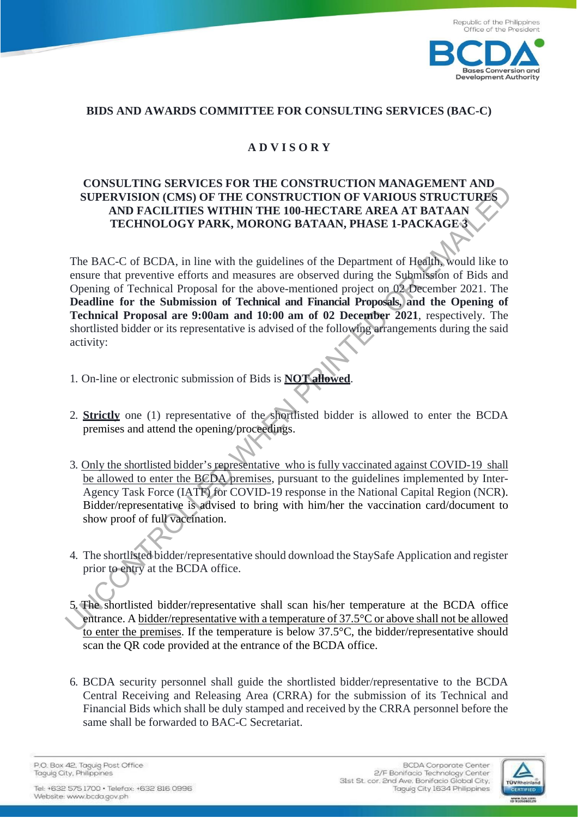

## **BIDS AND AWARDS COMMITTEE FOR CONSULTING SERVICES (BAC-C)**

## **A D V I S O R Y**

## **CONSULTING SERVICES FOR THE CONSTRUCTION MANAGEMENT AND SUPERVISION (CMS) OF THE CONSTRUCTION OF VARIOUS STRUCTURES AND FACILITIES WITHIN THE 100-HECTARE AREA AT BATAAN TECHNOLOGY PARK, MORONG BATAAN, PHASE 1-PACKAGE 3**

The BAC-C of BCDA, in line with the guidelines of the Department of Health, would like to ensure that preventive efforts and measures are observed during the Submission of Bids and Opening of Technical Proposal for the above-mentioned project on 02 December 2021. The **Deadline for the Submission of Technical and Financial Proposals, and the Opening of Technical Proposal are 9:00am and 10:00 am of 02 December 2021**, respectively. The shortlisted bidder or its representative is advised of the following arrangements during the said activity: CONSULTING SEAT THE CONSTRUCTION OF VARIOUS STRUCTURES<br>
SUPERVISION (CMS) OF THE CONSTRUCTION OF VARIOUS STRUCTURES<br>
TRECHITIES WITHIN THE DOMESTICATOR AREA AT BATAAN,<br>
TRECHITIES WITHIN THE DOMESTICATOR AREA AT BATAAN,<br>

- 1. On-line or electronic submission of Bids is **NOT allowed**.
- 2. **Strictly** one (1) representative of the shortlisted bidder is allowed to enter the BCDA premises and attend the opening/proceedings.
- 3. Only the shortlisted bidder's representative who is fully vaccinated against COVID-19 shall be allowed to enter the BCDA premises, pursuant to the guidelines implemented by Inter-Agency Task Force (IATF) for COVID-19 response in the National Capital Region (NCR). Bidder/representative is advised to bring with him/her the vaccination card/document to show proof of full vaccination.
- 4. The shortlisted bidder/representative should download the StaySafe Application and register prior to entry at the BCDA office.
- 5. The shortlisted bidder/representative shall scan his/her temperature at the BCDA office entrance. A bidder/representative with a temperature of  $37.5^{\circ}$ C or above shall not be allowed to enter the premises. If the temperature is below 37.5°C, the bidder/representative should scan the QR code provided at the entrance of the BCDA office.
- 6. BCDA security personnel shall guide the shortlisted bidder/representative to the BCDA Central Receiving and Releasing Area (CRRA) for the submission of its Technical and Financial Bids which shall be duly stamped and received by the CRRA personnel before the same shall be forwarded to BAC-C Secretariat.

P.O. Box 42. Taguig Post Office Taguig City, Philippines